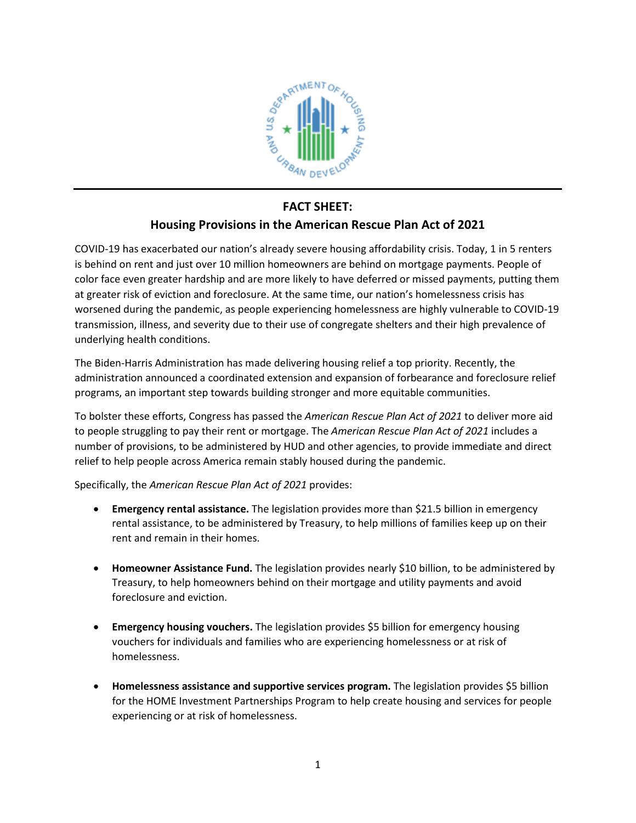

## **FACT SHEET:**

## **Housing Provisions in the American Rescue Plan Act of 2021**

COVID-19 has exacerbated our nation's already severe housing affordability crisis. Today, 1 in 5 renters is behind on rent and just over 10 million homeowners are behind on mortgage payments. People of color face even greater hardship and are more likely to have deferred or missed payments, putting them at greater risk of eviction and foreclosure. At the same time, our nation's homelessness crisis has worsened during the pandemic, as people experiencing homelessness are highly vulnerable to COVID-19 transmission, illness, and severity due to their use of congregate shelters and their high prevalence of underlying health conditions.

The Biden-Harris Administration has made delivering housing relief a top priority. Recently, the administration announced a coordinated extension and expansion of forbearance and foreclosure relief programs, an important step towards building stronger and more equitable communities.

To bolster these efforts, Congress has passed the *American Rescue Plan Act of 2021* to deliver more aid to people struggling to pay their rent or mortgage. The *American Rescue Plan Act of 2021* includes a number of provisions, to be administered by HUD and other agencies, to provide immediate and direct relief to help people across America remain stably housed during the pandemic.

Specifically, the *American Rescue Plan Act of 2021* provides:

- **Emergency rental assistance.** The legislation provides more than \$21.5 billion in emergency rental assistance, to be administered by Treasury, to help millions of families keep up on their rent and remain in their homes.
- **Homeowner Assistance Fund.** The legislation provides nearly \$10 billion, to be administered by Treasury, to help homeowners behind on their mortgage and utility payments and avoid foreclosure and eviction.
- **Emergency housing vouchers.** The legislation provides \$5 billion for emergency housing vouchers for individuals and families who are experiencing homelessness or at risk of homelessness.
- **Homelessness assistance and supportive services program.** The legislation provides \$5 billion for the HOME Investment Partnerships Program to help create housing and services for people experiencing or at risk of homelessness.